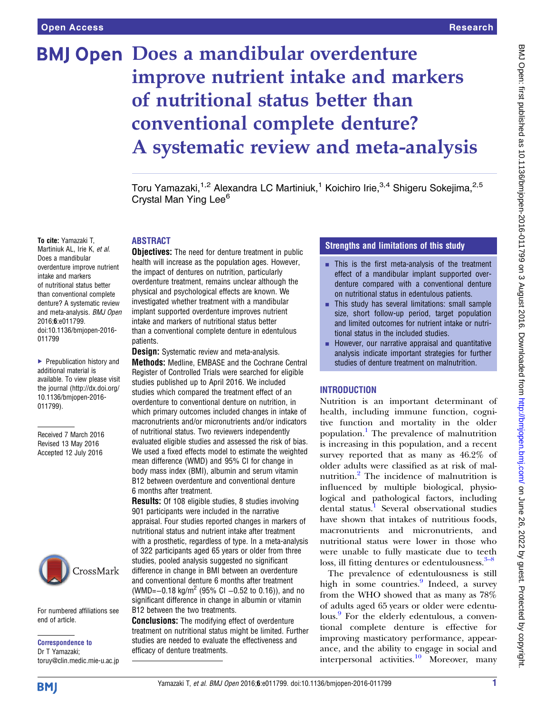# **BMJ Open Does a mandibular overdenture** improve nutrient intake and markers of nutritional status better than conventional complete denture? A systematic review and meta-analysis

Toru Yamazaki,<sup>1,2</sup> Alexandra LC Martiniuk,<sup>1</sup> Koichiro Irie,<sup>3,4</sup> Shigeru Sokejima,<sup>2,5</sup> Crystal Man Ying Lee<sup>6</sup>

#### ABSTRACT

To cite: Yamazaki T, Martiniuk AL, Irie K, et al. Does a mandibular overdenture improve nutrient intake and markers of nutritional status better than conventional complete denture? A systematic review and meta-analysis. BMJ Open 2016;6:e011799. doi:10.1136/bmjopen-2016- 011799

▶ Prepublication history and additional material is available. To view please visit the journal [\(http://dx.doi.org/](http://dx.doi.org/10.1136/bmjopen-2016-011799) [10.1136/bmjopen-2016-](http://dx.doi.org/10.1136/bmjopen-2016-011799) [011799\)](http://dx.doi.org/10.1136/bmjopen-2016-011799).

Received 7 March 2016 Revised 13 May 2016 Accepted 12 July 2016



For numbered affiliations see end of article.

Correspondence to Dr T Yamazaki; toruy@clin.medic.mie-u.ac.jp

**Objectives:** The need for denture treatment in public health will increase as the population ages. However, the impact of dentures on nutrition, particularly overdenture treatment, remains unclear although the physical and psychological effects are known. We investigated whether treatment with a mandibular implant supported overdenture improves nutrient intake and markers of nutritional status better than a conventional complete denture in edentulous patients.

**Design:** Systematic review and meta-analysis. Methods: Medline, EMBASE and the Cochrane Central Register of Controlled Trials were searched for eligible studies published up to April 2016. We included studies which compared the treatment effect of an overdenture to conventional denture on nutrition, in which primary outcomes included changes in intake of macronutrients and/or micronutrients and/or indicators of nutritional status. Two reviewers independently evaluated eligible studies and assessed the risk of bias. We used a fixed effects model to estimate the weighted mean difference (WMD) and 95% CI for change in body mass index (BMI), albumin and serum vitamin B12 between overdenture and conventional denture 6 months after treatment.

Results: Of 108 eligible studies, 8 studies involving 901 participants were included in the narrative appraisal. Four studies reported changes in markers of nutritional status and nutrient intake after treatment with a prosthetic, regardless of type. In a meta-analysis of 322 participants aged 65 years or older from three studies, pooled analysis suggested no significant difference in change in BMI between an overdenture and conventional denture 6 months after treatment (WMD= $-0.18 \text{ kg/m}^2$  (95% CI  $-0.52$  to 0.16)), and no significant difference in change in albumin or vitamin B12 between the two treatments.

**Conclusions:** The modifying effect of overdenture treatment on nutritional status might be limited. Further studies are needed to evaluate the effectiveness and efficacy of denture treatments.

# Strengths and limitations of this study

- $\blacksquare$  This is the first meta-analysis of the treatment effect of a mandibular implant supported overdenture compared with a conventional denture on nutritional status in edentulous patients.
- **This study has several limitations: small sample** size, short follow-up period, target population and limited outcomes for nutrient intake or nutritional status in the included studies.
- $\blacksquare$  However, our narrative appraisal and quantitative analysis indicate important strategies for further studies of denture treatment on malnutrition.

# **INTRODUCTION**

Nutrition is an important determinant of health, including immune function, cognitive function and mortality in the older population.<sup>[1](#page-7-0)</sup> The prevalence of malnutrition is increasing in this population, and a recent survey reported that as many as 46.2% of older adults were classified as at risk of malnutrition.[2](#page-7-0) The incidence of malnutrition is influenced by multiple biological, physiological and pathological factors, including dental status.<sup>[1](#page-7-0)</sup> Several observational studies have shown that intakes of nutritious foods, macronutrients and micronutrients, and nutritional status were lower in those who were unable to fully masticate due to teeth loss, ill fitting dentures or edentulousness.<sup>[3](#page-7-0)–8</sup>

The prevalence of edentulousness is still high in some countries.<sup>9</sup> Indeed, a survey from the WHO showed that as many as 78% of adults aged 65 years or older were edentu-lous.<sup>[9](#page-7-0)</sup> For the elderly edentulous, a conventional complete denture is effective for improving masticatory performance, appearance, and the ability to engage in social and interpersonal activities.<sup>[10](#page-7-0)</sup> Moreover, many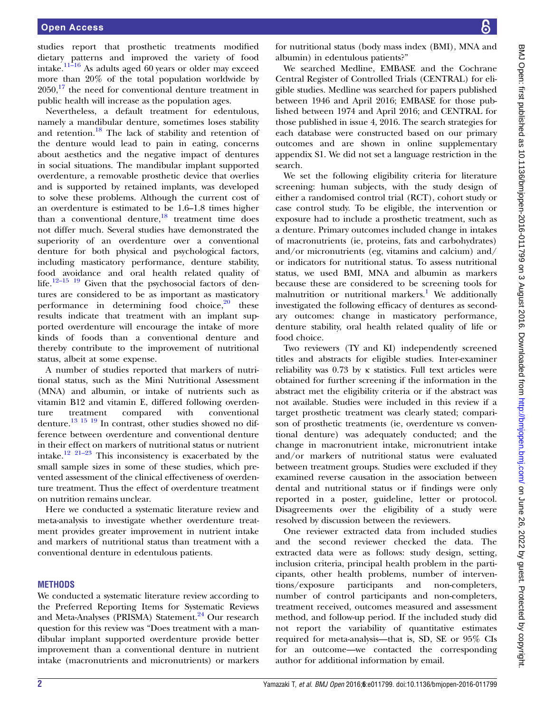studies report that prosthetic treatments modified dietary patterns and improved the variety of food intake. $11\overline{16}$  $11\overline{16}$  $11\overline{16}$  As adults aged 60 years or older may exceed more than 20% of the total population worldwide by  $2050$ ,  $^{17}$  $^{17}$  $^{17}$  the need for conventional denture treatment in public health will increase as the population ages.

Nevertheless, a default treatment for edentulous, namely a mandibular denture, sometimes loses stability and retention.<sup>[18](#page-8-0)</sup> The lack of stability and retention of the denture would lead to pain in eating, concerns about aesthetics and the negative impact of dentures in social situations. The mandibular implant supported overdenture, a removable prosthetic device that overlies and is supported by retained implants, was developed to solve these problems. Although the current cost of an overdenture is estimated to be 1.6–1.8 times higher than a conventional denture, $^{18}$  treatment time does not differ much. Several studies have demonstrated the superiority of an overdenture over a conventional denture for both physical and psychological factors, including masticatory performance, denture stability, food avoidance and oral health related quality of life.<sup>12–[15](#page-7-0)</sup> <sup>19</sup> Given that the psychosocial factors of dentures are considered to be as important as masticatory performance in determining food choice, $2^0$  these results indicate that treatment with an implant supported overdenture will encourage the intake of more kinds of foods than a conventional denture and thereby contribute to the improvement of nutritional status, albeit at some expense.

A number of studies reported that markers of nutritional status, such as the Mini Nutritional Assessment (MNA) and albumin, or intake of nutrients such as vitamin B12 and vitamin E, differed following overdenture treatment compared with conventional denture.<sup>[13 15](#page-7-0) [19](#page-8-0)</sup> In contrast, other studies showed no difference between overdenture and conventional denture in their effect on markers of nutritional status or nutrient intake.<sup>[12](#page-7-0) [21](#page-8-0)–23</sup> This inconsistency is exacerbated by the small sample sizes in some of these studies, which prevented assessment of the clinical effectiveness of overdenture treatment. Thus the effect of overdenture treatment on nutrition remains unclear.

Here we conducted a systematic literature review and meta-analysis to investigate whether overdenture treatment provides greater improvement in nutrient intake and markers of nutritional status than treatment with a conventional denture in edentulous patients.

# **METHODS**

We conducted a systematic literature review according to the Preferred Reporting Items for Systematic Reviews and Meta-Analyses (PRISMA) Statement.<sup>[24](#page-8-0)</sup> Our research question for this review was "Does treatment with a mandibular implant supported overdenture provide better improvement than a conventional denture in nutrient intake (macronutrients and micronutrients) or markers

for nutritional status (body mass index (BMI), MNA and albumin) in edentulous patients?"

We searched Medline, EMBASE and the Cochrane Central Register of Controlled Trials (CENTRAL) for eligible studies. Medline was searched for papers published between 1946 and April 2016; EMBASE for those published between 1974 and April 2016; and CENTRAL for those published in issue 4, 2016. The search strategies for each database were constructed based on our primary outcomes and are shown in online [supplementary](http://dx.doi.org/10.1136/bmjopen-2016-011799) [appendix](http://dx.doi.org/10.1136/bmjopen-2016-011799) S1. We did not set a language restriction in the search.

We set the following eligibility criteria for literature screening: human subjects, with the study design of either a randomised control trial (RCT), cohort study or case control study. To be eligible, the intervention or exposure had to include a prosthetic treatment, such as a denture. Primary outcomes included change in intakes of macronutrients (ie, proteins, fats and carbohydrates) and/or micronutrients (eg, vitamins and calcium) and/ or indicators for nutritional status. To assess nutritional status, we used BMI, MNA and albumin as markers because these are considered to be screening tools for malnutrition or nutritional markers.<sup>[1](#page-7-0)</sup> We additionally investigated the following efficacy of dentures as secondary outcomes: change in masticatory performance, denture stability, oral health related quality of life or food choice.

Two reviewers (TY and KI) independently screened titles and abstracts for eligible studies. Inter-examiner reliability was 0.73 by κ statistics. Full text articles were obtained for further screening if the information in the abstract met the eligibility criteria or if the abstract was not available. Studies were included in this review if a target prosthetic treatment was clearly stated; comparison of prosthetic treatments (ie, overdenture vs conventional denture) was adequately conducted; and the change in macronutrient intake, micronutrient intake and/or markers of nutritional status were evaluated between treatment groups. Studies were excluded if they examined reverse causation in the association between dental and nutritional status or if findings were only reported in a poster, guideline, letter or protocol. Disagreements over the eligibility of a study were resolved by discussion between the reviewers.

One reviewer extracted data from included studies and the second reviewer checked the data. The extracted data were as follows: study design, setting, inclusion criteria, principal health problem in the participants, other health problems, number of interventions/exposure participants and non-completers, number of control participants and non-completers, treatment received, outcomes measured and assessment method, and follow-up period. If the included study did not report the variability of quantitative estimates required for meta-analysis—that is, SD, SE or 95% CIs for an outcome—we contacted the corresponding author for additional information by email.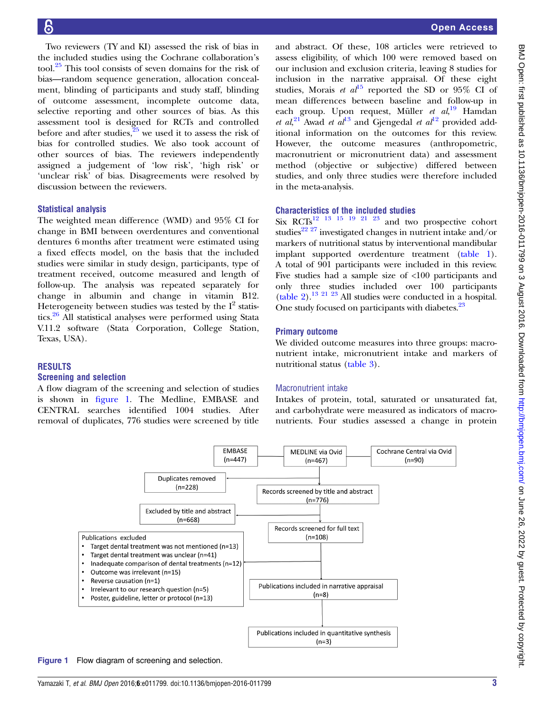Two reviewers (TY and KI) assessed the risk of bias in the included studies using the Cochrane collaboration's tool.[25](#page-8-0) This tool consists of seven domains for the risk of bias—random sequence generation, allocation concealment, blinding of participants and study staff, blinding of outcome assessment, incomplete outcome data, selective reporting and other sources of bias. As this assessment tool is designed for RCTs and controlled before and after studies,  $\frac{25}{25}$  $\frac{25}{25}$  $\frac{25}{25}$  we used it to assess the risk of bias for controlled studies. We also took account of other sources of bias. The reviewers independently assigned a judgement of 'low risk', 'high risk' or 'unclear risk' of bias. Disagreements were resolved by discussion between the reviewers.

# Statistical analysis

The weighted mean difference (WMD) and 95% CI for change in BMI between overdentures and conventional dentures 6 months after treatment were estimated using a fixed effects model, on the basis that the included studies were similar in study design, participants, type of treatment received, outcome measured and length of follow-up. The analysis was repeated separately for change in albumin and change in vitamin B12. Heterogeneity between studies was tested by the  $I^2$  statistics.[26](#page-8-0) All statistical analyses were performed using Stata V.11.2 software (Stata Corporation, College Station, Texas, USA).

#### RESULTS

#### Screening and selection

A flow diagram of the screening and selection of studies is shown in figure 1. The Medline, EMBASE and CENTRAL searches identified 1004 studies. After removal of duplicates, 776 studies were screened by title and abstract. Of these, 108 articles were retrieved to assess eligibility, of which 100 were removed based on our inclusion and exclusion criteria, leaving 8 studies for inclusion in the narrative appraisal. Of these eight studies, Morais et  $al^{15}$  $al^{15}$  $al^{15}$  reported the SD or 95% CI of mean differences between baseline and follow-up in each group. Upon request, Müller et al,<sup>[19](#page-8-0)</sup> Hamdan et  $al$ <sup>[21](#page-8-0)</sup> Awad et  $al^{13}$  $al^{13}$  $al^{13}$  and Gjengedal et  $al^{12}$  $al^{12}$  $al^{12}$  provided additional information on the outcomes for this review. However, the outcome measures (anthropometric, macronutrient or micronutrient data) and assessment method (objective or subjective) differed between studies, and only three studies were therefore included in the meta-analysis.

#### Characteristics of the included studies

Six  $RCTs$ <sup>12</sup> <sup>13</sup> <sup>15</sup> <sup>19</sup> <sup>21</sup> <sup>23</sup> and two prospective cohort studies<sup>22 27</sup> investigated changes in nutrient intake and/or markers of nutritional status by interventional mandibular implant supported overdenture treatment [\(table 1\)](#page-3-0). A total of 901 participants were included in this review. Five studies had a sample size of <100 participants and only three studies included over 100 participants [\(table 2](#page-3-0)).[13](#page-7-0) [21 23](#page-8-0) All studies were conducted in a hospital. One study focused on participants with diabetes.<sup>23</sup>

# Primary outcome

We divided outcome measures into three groups: macronutrient intake, micronutrient intake and markers of nutritional status ([table 3](#page-4-0)).

# Macronutrient intake

Intakes of protein, total, saturated or unsaturated fat, and carbohydrate were measured as indicators of macronutrients. Four studies assessed a change in protein



Figure 1 Flow diagram of screening and selection.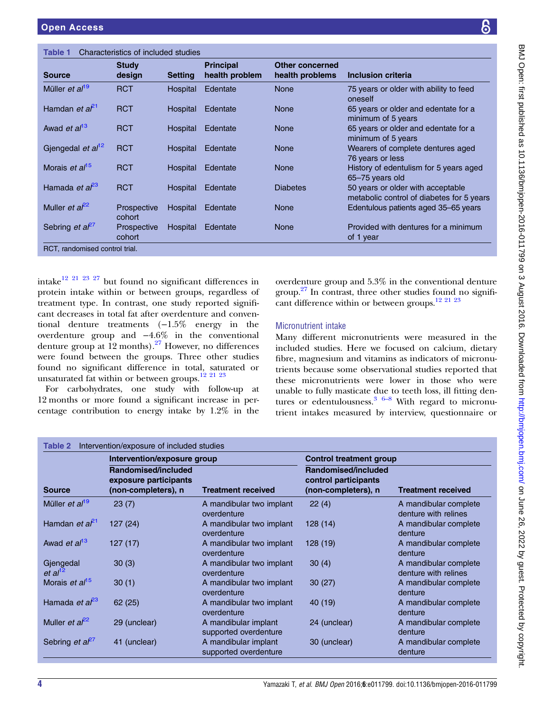| !<br>;<br>;                                                                                                                                                                                                                                                                                                                    |
|--------------------------------------------------------------------------------------------------------------------------------------------------------------------------------------------------------------------------------------------------------------------------------------------------------------------------------|
|                                                                                                                                                                                                                                                                                                                                |
|                                                                                                                                                                                                                                                                                                                                |
|                                                                                                                                                                                                                                                                                                                                |
| $\ddot{\phantom{a}}$                                                                                                                                                                                                                                                                                                           |
| יי היה ההווהווהיה וה                                                                                                                                                                                                                                                                                                           |
| j                                                                                                                                                                                                                                                                                                                              |
| $\vdots$                                                                                                                                                                                                                                                                                                                       |
|                                                                                                                                                                                                                                                                                                                                |
|                                                                                                                                                                                                                                                                                                                                |
|                                                                                                                                                                                                                                                                                                                                |
| ショックティング                                                                                                                                                                                                                                                                                                                       |
|                                                                                                                                                                                                                                                                                                                                |
|                                                                                                                                                                                                                                                                                                                                |
|                                                                                                                                                                                                                                                                                                                                |
| $\begin{bmatrix} 1 & 0 & 0 \\ 0 & 0 & 0 \\ 0 & 0 & 0 \\ 0 & 0 & 0 \\ 0 & 0 & 0 \\ 0 & 0 & 0 \\ 0 & 0 & 0 & 0 \\ 0 & 0 & 0 & 0 \\ 0 & 0 & 0 & 0 \\ 0 & 0 & 0 & 0 & 0 \\ 0 & 0 & 0 & 0 & 0 \\ 0 & 0 & 0 & 0 & 0 \\ 0 & 0 & 0 & 0 & 0 & 0 \\ 0 & 0 & 0 & 0 & 0 & 0 \\ 0 & 0 & 0 & 0 & 0 & 0 & 0 \\ 0 & 0 & 0 & 0 & 0 & 0 & 0 \\ $ |
|                                                                                                                                                                                                                                                                                                                                |
|                                                                                                                                                                                                                                                                                                                                |
|                                                                                                                                                                                                                                                                                                                                |
|                                                                                                                                                                                                                                                                                                                                |
|                                                                                                                                                                                                                                                                                                                                |
|                                                                                                                                                                                                                                                                                                                                |
|                                                                                                                                                                                                                                                                                                                                |
|                                                                                                                                                                                                                                                                                                                                |
|                                                                                                                                                                                                                                                                                                                                |
|                                                                                                                                                                                                                                                                                                                                |
| A C an DATA DING                                                                                                                                                                                                                                                                                                               |
| $\overline{a}$                                                                                                                                                                                                                                                                                                                 |
|                                                                                                                                                                                                                                                                                                                                |
|                                                                                                                                                                                                                                                                                                                                |
|                                                                                                                                                                                                                                                                                                                                |
|                                                                                                                                                                                                                                                                                                                                |
| りょうり                                                                                                                                                                                                                                                                                                                           |
|                                                                                                                                                                                                                                                                                                                                |
|                                                                                                                                                                                                                                                                                                                                |
|                                                                                                                                                                                                                                                                                                                                |
|                                                                                                                                                                                                                                                                                                                                |
|                                                                                                                                                                                                                                                                                                                                |
|                                                                                                                                                                                                                                                                                                                                |
|                                                                                                                                                                                                                                                                                                                                |
|                                                                                                                                                                                                                                                                                                                                |
|                                                                                                                                                                                                                                                                                                                                |
|                                                                                                                                                                                                                                                                                                                                |
|                                                                                                                                                                                                                                                                                                                                |
|                                                                                                                                                                                                                                                                                                                                |
|                                                                                                                                                                                                                                                                                                                                |
| oppiopen                                                                                                                                                                                                                                                                                                                       |
|                                                                                                                                                                                                                                                                                                                                |
|                                                                                                                                                                                                                                                                                                                                |
|                                                                                                                                                                                                                                                                                                                                |
|                                                                                                                                                                                                                                                                                                                                |
|                                                                                                                                                                                                                                                                                                                                |
|                                                                                                                                                                                                                                                                                                                                |
|                                                                                                                                                                                                                                                                                                                                |
|                                                                                                                                                                                                                                                                                                                                |
|                                                                                                                                                                                                                                                                                                                                |
|                                                                                                                                                                                                                                                                                                                                |
| י<br>ו                                                                                                                                                                                                                                                                                                                         |
|                                                                                                                                                                                                                                                                                                                                |
|                                                                                                                                                                                                                                                                                                                                |
|                                                                                                                                                                                                                                                                                                                                |
|                                                                                                                                                                                                                                                                                                                                |
| ı                                                                                                                                                                                                                                                                                                                              |
|                                                                                                                                                                                                                                                                                                                                |
| I                                                                                                                                                                                                                                                                                                                              |
| I<br>Í                                                                                                                                                                                                                                                                                                                         |
|                                                                                                                                                                                                                                                                                                                                |
|                                                                                                                                                                                                                                                                                                                                |
|                                                                                                                                                                                                                                                                                                                                |
|                                                                                                                                                                                                                                                                                                                                |
|                                                                                                                                                                                                                                                                                                                                |

<span id="page-3-0"></span>

| Characteristics of included studies<br>Table 1 |                        |                |                                    |                                    |                                                                                |  |
|------------------------------------------------|------------------------|----------------|------------------------------------|------------------------------------|--------------------------------------------------------------------------------|--|
| <b>Source</b>                                  | <b>Study</b><br>design | <b>Setting</b> | <b>Principal</b><br>health problem | Other concerned<br>health problems | Inclusion criteria                                                             |  |
| Müller et al <sup>19</sup>                     | <b>RCT</b>             | Hospital       | Edentate                           | <b>None</b>                        | 75 years or older with ability to feed<br>oneself                              |  |
| Hamdan et al <sup>21</sup>                     | <b>RCT</b>             | Hospital       | Edentate                           | <b>None</b>                        | 65 years or older and edentate for a<br>minimum of 5 years                     |  |
| Awad et al <sup>13</sup>                       | <b>RCT</b>             | Hospital       | Edentate                           | <b>None</b>                        | 65 years or older and edentate for a<br>minimum of 5 years                     |  |
| Gjengedal et al <sup>12</sup>                  | <b>RCT</b>             | Hospital       | Edentate                           | <b>None</b>                        | Wearers of complete dentures aged<br>76 years or less                          |  |
| Morais et al <sup>15</sup>                     | <b>RCT</b>             | Hospital       | Edentate                           | <b>None</b>                        | History of edentulism for 5 years aged<br>65-75 years old                      |  |
| Hamada et al <sup>23</sup>                     | <b>RCT</b>             | Hospital       | Edentate                           | <b>Diabetes</b>                    | 50 years or older with acceptable<br>metabolic control of diabetes for 5 years |  |
| Muller <i>et</i> $a^{2}$                       | Prospective<br>cohort  | Hospital       | Edentate                           | <b>None</b>                        | Edentulous patients aged 35–65 years                                           |  |
| Sebring <i>et</i> $a^{27}$                     | Prospective<br>cohort  | Hospital       | Edentate                           | <b>None</b>                        | Provided with dentures for a minimum<br>of 1 year                              |  |
| RCT, randomised control trial.                 |                        |                |                                    |                                    |                                                                                |  |

intake $^{12}$  $^{12}$  $^{12}$   $^{21}$   $^{23}$   $^{27}$  but found no significant differences in protein intake within or between groups, regardless of treatment type. In contrast, one study reported significant decreases in total fat after overdenture and conventional denture treatments (−1.5% energy in the overdenture group and −4.6% in the conventional denture group at  $12$  months).<sup>[27](#page-8-0)</sup> However, no differences were found between the groups. Three other studies found no significant difference in total, saturated or unsaturated fat within or between groups.<sup>[12](#page-7-0) [21 23](#page-8-0)</sup>

For carbohydrates, one study with follow-up at 12 months or more found a significant increase in percentage contribution to energy intake by 1.2% in the

overdenture group and 5.3% in the conventional denture group.[27](#page-8-0) In contrast, three other studies found no signifi-cant difference within or between groups.<sup>12 [21 23](#page-8-0)</sup>

# Micronutrient intake

Many different micronutrients were measured in the included studies. Here we focused on calcium, dietary fibre, magnesium and vitamins as indicators of micronutrients because some observational studies reported that these micronutrients were lower in those who were unable to fully masticate d[ue t](#page-7-0)o teeth loss, ill fitting dentures or edentulousness. $36-8$  With regard to micronutrient intakes measured by interview, questionnaire or

| Intervention/exposure of included studies<br>Table 2 |                                                                     |                                               |                                                                    |                                               |  |  |  |
|------------------------------------------------------|---------------------------------------------------------------------|-----------------------------------------------|--------------------------------------------------------------------|-----------------------------------------------|--|--|--|
|                                                      | Intervention/exposure group                                         |                                               | <b>Control treatment group</b>                                     |                                               |  |  |  |
| <b>Source</b>                                        | Randomised/included<br>exposure participants<br>(non-completers), n | <b>Treatment received</b>                     | Randomised/included<br>control participants<br>(non-completers), n | <b>Treatment received</b>                     |  |  |  |
| Müller et al <sup>19</sup>                           | 23(7)                                                               | A mandibular two implant<br>overdenture       | 22(4)                                                              | A mandibular complete<br>denture with relines |  |  |  |
| Hamdan <i>et a</i> $l^{21}$                          | 127(24)                                                             | A mandibular two implant<br>overdenture       | 128 (14)                                                           | A mandibular complete<br>denture              |  |  |  |
| Awad et al <sup>13</sup>                             | 127(17)                                                             | A mandibular two implant<br>overdenture       | 128(19)                                                            | A mandibular complete<br>denture              |  |  |  |
| Gjengedal<br>et al <sup>12</sup>                     | 30(3)                                                               | A mandibular two implant<br>overdenture       | 30(4)                                                              | A mandibular complete<br>denture with relines |  |  |  |
| Morais <i>et al</i> <sup>15</sup>                    | 30(1)                                                               | A mandibular two implant<br>overdenture       | 30(27)                                                             | A mandibular complete<br>denture              |  |  |  |
| Hamada et $a^{23}$                                   | 62(25)                                                              | A mandibular two implant<br>overdenture       | 40 (19)                                                            | A mandibular complete<br>denture              |  |  |  |
| Muller <i>et</i> $a^{22}$                            | 29 (unclear)                                                        | A mandibular implant<br>supported overdenture | 24 (unclear)                                                       | A mandibular complete<br>denture              |  |  |  |
| Sebring <i>et</i> $a^{27}$                           | 41 (unclear)                                                        | A mandibular implant<br>supported overdenture | 30 (unclear)                                                       | A mandibular complete<br>denture              |  |  |  |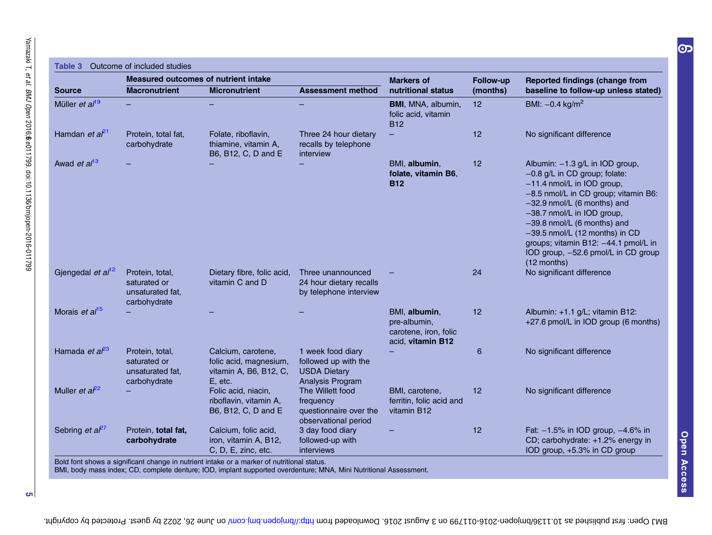<span id="page-4-0"></span>

|                                  |                                                                     | <b>Measured outcomes of nutrient intake</b>                                       |                                                                                      | <b>Markers of</b><br>nutritional status                                     | <b>Follow-up</b><br>(months) | <b>Reported findings (change from</b>                                                                                                                                                                                                                                                                                                                                |
|----------------------------------|---------------------------------------------------------------------|-----------------------------------------------------------------------------------|--------------------------------------------------------------------------------------|-----------------------------------------------------------------------------|------------------------------|----------------------------------------------------------------------------------------------------------------------------------------------------------------------------------------------------------------------------------------------------------------------------------------------------------------------------------------------------------------------|
| <b>Source</b>                    | <b>Macronutrient</b>                                                | <b>Micronutrient</b>                                                              | <b>Assessment method</b>                                                             |                                                                             |                              | baseline to follow-up unless stated)                                                                                                                                                                                                                                                                                                                                 |
| Müller et al <sup>19</sup>       |                                                                     |                                                                                   |                                                                                      | BMI, MNA, albumin,<br>folic acid, vitamin<br><b>B12</b>                     | 12 <sub>2</sub>              | BMI: $-0.4$ kg/m <sup>2</sup>                                                                                                                                                                                                                                                                                                                                        |
| Hamdan et a <sup><i>P</i>1</sup> | Protein, total fat,<br>carbohydrate                                 | Folate, riboflavin,<br>thiamine, vitamin A,<br>B6, B12, C, D and E                | Three 24 hour dietary<br>recalls by telephone<br>interview                           |                                                                             | 12 <sub>2</sub>              | No significant difference                                                                                                                                                                                                                                                                                                                                            |
| Awad et al <sup>13</sup>         |                                                                     |                                                                                   |                                                                                      | BMI, albumin,<br>folate, vitamin B6,<br><b>B12</b>                          | 12                           | Albumin: -1.3 g/L in IOD group,<br>$-0.8$ g/L in CD group; folate:<br>-11.4 nmol/L in IOD group,<br>-8.5 nmol/L in CD group; vitamin B6:<br>-32.9 nmol/L (6 months) and<br>-38.7 nmol/L in IOD group,<br>-39.8 nmol/L (6 months) and<br>-39.5 nmol/L (12 months) in CD<br>groups; vitamin B12: -44.1 pmol/L in<br>IOD group, -52.6 pmol/L in CD group<br>(12 months) |
| Gjengedal et al <sup>12</sup>    | Protein, total,<br>saturated or<br>unsaturated fat,<br>carbohydrate | Dietary fibre, folic acid,<br>vitamin C and D                                     | Three unannounced<br>24 hour dietary recalls<br>by telephone interview               |                                                                             | 24                           | No significant difference                                                                                                                                                                                                                                                                                                                                            |
| Morais et al <sup>15</sup>       |                                                                     |                                                                                   |                                                                                      | BMI, albumin,<br>pre-albumin,<br>carotene, iron, folic<br>acid, vitamin B12 | 12                           | Albumin: +1.1 g/L; vitamin B12:<br>+27.6 pmol/L in IOD group (6 months)                                                                                                                                                                                                                                                                                              |
| Hamada et al <sup>23</sup>       | Protein, total,<br>saturated or<br>unsaturated fat,<br>carbohydrate | Calcium, carotene,<br>folic acid, magnesium,<br>vitamin A, B6, B12, C,<br>E, etc. | 1 week food diary<br>followed up with the<br><b>USDA Dietary</b><br>Analysis Program |                                                                             | 6                            | No significant difference                                                                                                                                                                                                                                                                                                                                            |
| Muller et $a^{22}$               |                                                                     | Folic acid, niacin,<br>riboflavin, vitamin A,<br>B6, B12, C, D and E              | The Willett food<br>frequency<br>questionnaire over the<br>observational period      | BMI, carotene,<br>ferritin, folic acid and<br>vitamin B12                   | 12 <sub>2</sub>              | No significant difference                                                                                                                                                                                                                                                                                                                                            |
| Sebring <i>et</i> $a^{27}$       | Protein, total fat,<br>carbohydrate                                 | Calcium, folic acid,<br>iron, vitamin A, B12,<br>C, D, E, zinc, etc.              | 3 day food diary<br>followed-up with<br>interviews                                   |                                                                             | 12                           | Fat: -1.5% in IOD group, -4.6% in<br>CD; carbohydrate: +1.2% energy in<br>IOD group, +5.3% in CD group                                                                                                                                                                                                                                                               |

BMI, body mass index; CD, complete denture; IOD, implant supported overdenture; MNA, Mini Nutritional Assessment.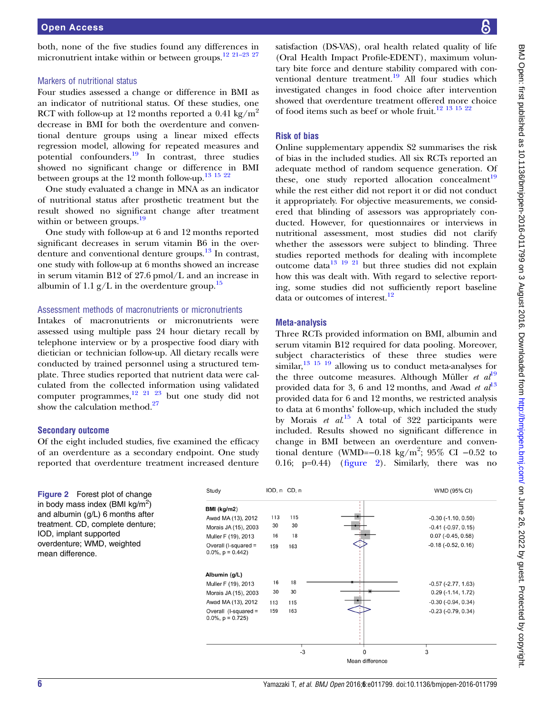<span id="page-5-0"></span>both, none of the five studies found any differences in micronutrient intake within or between groups.<sup>[12](#page-7-0) [21](#page-8-0)–23 [27](#page-8-0)</sup>

#### Markers of nutritional status

Four studies assessed a change or difference in BMI as an indicator of nutritional status. Of these studies, one RCT with follow-up at 12 months reported a 0.41 kg/ $m^2$ decrease in BMI for both the overdenture and conventional denture groups using a linear mixed effects regression model, allowing for repeated measures and potential confounders.<sup>[19](#page-8-0)</sup> In contrast, three studies showed no significant change or difference in BMI between groups at the 12 month follow-up.<sup>[13 15](#page-7-0) [22](#page-8-0)</sup>

One study evaluated a change in MNA as an indicator of nutritional status after prosthetic treatment but the result showed no significant change after treatment within or between groups.<sup>[19](#page-8-0)</sup>

One study with follow-up at 6 and 12 months reported significant decreases in serum vitamin B6 in the over-denture and conventional denture groups.<sup>[13](#page-7-0)</sup> In contrast, one study with follow-up at 6 months showed an increase in serum vitamin B12 of 27.6 pmol/L and an increase in albumin of 1.1  $g/L$  in the overdenture group.<sup>15</sup>

### Assessment methods of macronutrients or micronutrients

Intakes of macronutrients or micronutrients were assessed using multiple pass 24 hour dietary recall by telephone interview or by a prospective food diary with dietician or technician follow-up. All dietary recalls were conducted by trained personnel using a structured template. Three studies reported that nutrient data were calculated from the collected information using validated computer programmes,<sup>[12](#page-7-0) [21 23](#page-8-0)</sup> but one study did not show the calculation method. $27$ 

### Secondary outcome

Of the eight included studies, five examined the efficacy of an overdenture as a secondary endpoint. One study reported that overdenture treatment increased denture

satisfaction (DS-VAS), oral health related quality of life (Oral Health Impact Profile-EDENT), maximum voluntary bite force and denture stability compared with con-ventional denture treatment.<sup>[19](#page-8-0)</sup> All four studies which investigated changes in food choice after intervention showed that overdenture treatment offered more choice of food items such as beef or whole fruit.<sup>12</sup> <sup>13</sup> <sup>15</sup> <sup>22</sup>

# Risk of bias

Online [supplementary appendix](http://dx.doi.org/10.1136/bmjopen-2016-011799) S2 summarises the risk of bias in the included studies. All six RCTs reported an adequate method of random sequence generation. Of these, one study reported allocation concealment $19$ while the rest either did not report it or did not conduct it appropriately. For objective measurements, we considered that blinding of assessors was appropriately conducted. However, for questionnaires or interviews in nutritional assessment, most studies did not clarify whether the assessors were subject to blinding. Three studies reported methods for dealing with incomplete outcome data $13 \frac{19}{21}$  $13 \frac{19}{21}$  but three studies did not explain how this was dealt with. With regard to selective reporting, some studies did not sufficiently report baseline data or outcomes of interest.<sup>12</sup>

#### Meta-analysis

Three RCTs provided information on BMI, albumin and serum vitamin B12 required for data pooling. Moreover, subject characteristics of these three studies were similar,  $^{13}$  15  $^{19}$  allowing us to conduct meta-analyses for the three outcome measures. Although Müller *et al*<sup>[19](#page-8-0)</sup> provided data for 3, 6 and 12 months, and Awad et  $al<sup>13</sup>$  $al<sup>13</sup>$  $al<sup>13</sup>$ provided data for 6 and 12 months, we restricted analysis to data at 6 months' follow-up, which included the study by Morais et  $al^{15}$  $al^{15}$  $al^{15}$  A total of 322 participants were included. Results showed no significant difference in change in BMI between an overdenture and conventional denture (WMD=−0.18 kg/m<sup>2</sup>; 95% CI −0.52 to 0.16; p=0.44) (figure 2). Similarly, there was no

| Figure 2 Forest plot of change                 | Study                                           | $IOD, n$ $CD, n$ |     |                 | WMD (95% CI)            |
|------------------------------------------------|-------------------------------------------------|------------------|-----|-----------------|-------------------------|
| in body mass index (BMI $kg/m^2$ )             | BMI (kg/m2)                                     |                  |     |                 |                         |
| and albumin $(g/L)$ 6 months after             | Awad MA (13), 2012                              | 113              | 115 |                 | $-0.30$ $(-1.10, 0.50)$ |
| treatment. CD, complete denture;               | Morais JA (15), 2003                            | 30               | 30  |                 | $-0.41$ $(-0.97, 0.15)$ |
| IOD, implant supported                         | Muller F (19), 2013                             | 16               | 18  |                 | $0.07$ (-0.45, 0.58)    |
| overdenture; WMD, weighted<br>mean difference. | Overall (I-squared =<br>$0.0\%$ , $p = 0.442$ ) | 159              | 163 |                 | $-0.18(-0.52, 0.16)$    |
|                                                |                                                 |                  |     |                 |                         |
|                                                | Albumin (g/L)                                   |                  |     |                 |                         |
|                                                | Muller F (19), 2013                             | 16               | 18  |                 | $-0.57$ $(-2.77, 1.63)$ |
|                                                | Morais JA (15), 2003                            | 30               | 30  |                 | $0.29(-1.14, 1.72)$     |
|                                                | Awad MA (13), 2012                              | 113              | 115 |                 | $-0.30$ $(-0.94, 0.34)$ |
|                                                | Overall (I-squared =<br>$0.0\%$ , $p = 0.725$ ) | 159              | 163 |                 | $-0.23$ $(-0.79, 0.34)$ |
|                                                |                                                 |                  |     |                 |                         |
|                                                |                                                 |                  |     |                 |                         |
|                                                |                                                 |                  | -3  |                 | 3                       |
|                                                |                                                 |                  |     | Mean difference |                         |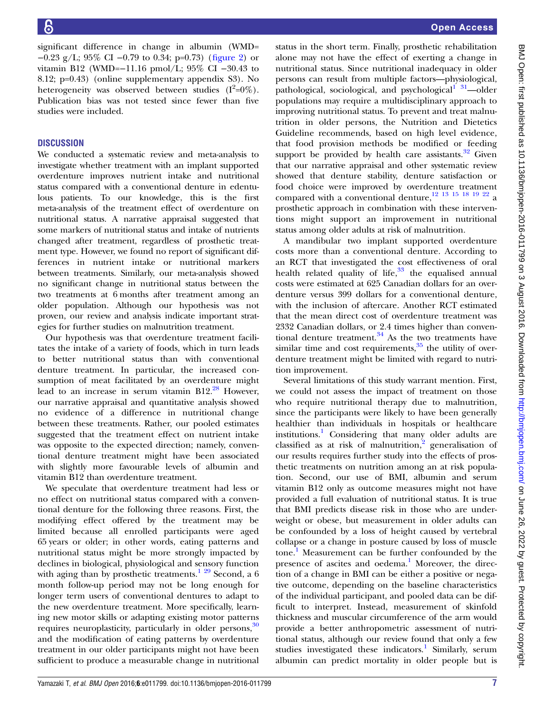significant difference in change in albumin (WMD= −0.23 g/L; 95% CI −0.79 to 0.34; p=0.73) (fi[gure 2\)](#page-5-0) or vitamin B12 (WMD=−11.16 pmol/L; 95% CI −30.43 to 8.12; p=0.43) (online [supplementary appendix](http://dx.doi.org/10.1136/bmjopen-2016-011799) S3). No heterogeneity was observed between studies  $(I^2=0\%).$ Publication bias was not tested since fewer than five studies were included.

# **DISCUSSION**

We conducted a systematic review and meta-analysis to investigate whether treatment with an implant supported overdenture improves nutrient intake and nutritional status compared with a conventional denture in edentulous patients. To our knowledge, this is the first meta-analysis of the treatment effect of overdenture on nutritional status. A narrative appraisal suggested that some markers of nutritional status and intake of nutrients changed after treatment, regardless of prosthetic treatment type. However, we found no report of significant differences in nutrient intake or nutritional markers between treatments. Similarly, our meta-analysis showed no significant change in nutritional status between the two treatments at 6 months after treatment among an older population. Although our hypothesis was not proven, our review and analysis indicate important strategies for further studies on malnutrition treatment.

Our hypothesis was that overdenture treatment facilitates the intake of a variety of foods, which in turn leads to better nutritional status than with conventional denture treatment. In particular, the increased consumption of meat facilitated by an overdenture might lead to an increase in serum vitamin  $B12<sup>28</sup>$  $B12<sup>28</sup>$  $B12<sup>28</sup>$  However, our narrative appraisal and quantitative analysis showed no evidence of a difference in nutritional change between these treatments. Rather, our pooled estimates suggested that the treatment effect on nutrient intake was opposite to the expected direction; namely, conventional denture treatment might have been associated with slightly more favourable levels of albumin and vitamin B12 than overdenture treatment.

We speculate that overdenture treatment had less or no effect on nutritional status compared with a conventional denture for the following three reasons. First, the modifying effect offered by the treatment may be limited because all enrolled participants were aged 65 years or older; in other words, eating patterns and nutritional status might be more strongly impacted by declines in biological, physiological and sensory function with aging than by prosthetic treatments.<sup>[1](#page-7-0)</sup>  $29$  Second, a 6 month follow-up period may not be long enough for longer term users of conventional dentures to adapt to the new overdenture treatment. More specifically, learning new motor skills or adapting existing motor patterns requires neuroplasticity, particularly in older persons,<sup>[30](#page-8-0)</sup> and the modification of eating patterns by overdenture treatment in our older participants might not have been sufficient to produce a measurable change in nutritional

status in the short term. Finally, prosthetic rehabilitation alone may not have the effect of exerting a change in nutritional status. Since nutritional inadequacy in older persons can result from multiple factors—physiological, pathological, sociological, and psychological $1^{31}$  $1^{31}$ —older populations may require a multidisciplinary approach to improving nutritional status. To prevent and treat malnutrition in older persons, the Nutrition and Dietetics Guideline recommends, based on high level evidence, that food provision methods be modified or feeding support be provided by health care assistants. $32$  Given that our narrative appraisal and other systematic review showed that denture stability, denture satisfaction or food choice were improved by overdenture treatment compared with a conventional denture,[12 13 15](#page-7-0) [18 19 22](#page-8-0) a prosthetic approach in combination with these interventions might support an improvement in nutritional status among older adults at risk of malnutrition.

A mandibular two implant supported overdenture costs more than a conventional denture. According to an RCT that investigated the cost effectiveness of oral health related quality of life, $33$  the equalised annual costs were estimated at 625 Canadian dollars for an overdenture versus 399 dollars for a conventional denture, with the inclusion of aftercare. Another RCT estimated that the mean direct cost of overdenture treatment was 2332 Canadian dollars, or 2.4 times higher than conventional denture treatment. $34$  As the two treatments have similar time and cost requirements, $35$  the utility of overdenture treatment might be limited with regard to nutrition improvement.

Several limitations of this study warrant mention. First, we could not assess the impact of treatment on those who require nutritional therapy due to malnutrition, since the participants were likely to have been generally healthier than individuals in hospitals or healthcare institutions.<sup>[1](#page-7-0)</sup> Considering that many older adults are classified as at risk of malnutrition, $\frac{2}{3}$  $\frac{2}{3}$  $\frac{2}{3}$  generalisation of our results requires further study into the effects of prosthetic treatments on nutrition among an at risk population. Second, our use of BMI, albumin and serum vitamin B12 only as outcome measures might not have provided a full evaluation of nutritional status. It is true that BMI predicts disease risk in those who are underweight or obese, but measurement in older adults can be confounded by a loss of height caused by vertebral collapse or a change in posture caused by loss of muscle tone.<sup>[1](#page-7-0)</sup> Measurement can be further confounded by the presence of ascites and oedema.<sup>[1](#page-7-0)</sup> Moreover, the direction of a change in BMI can be either a positive or negative outcome, depending on the baseline characteristics of the individual participant, and pooled data can be difficult to interpret. Instead, measurement of skinfold thickness and muscular circumference of the arm would provide a better anthropometric assessment of nutritional status, although our review found that only a few studies investigated these indicators.<sup>[1](#page-7-0)</sup> Similarly, serum albumin can predict mortality in older people but is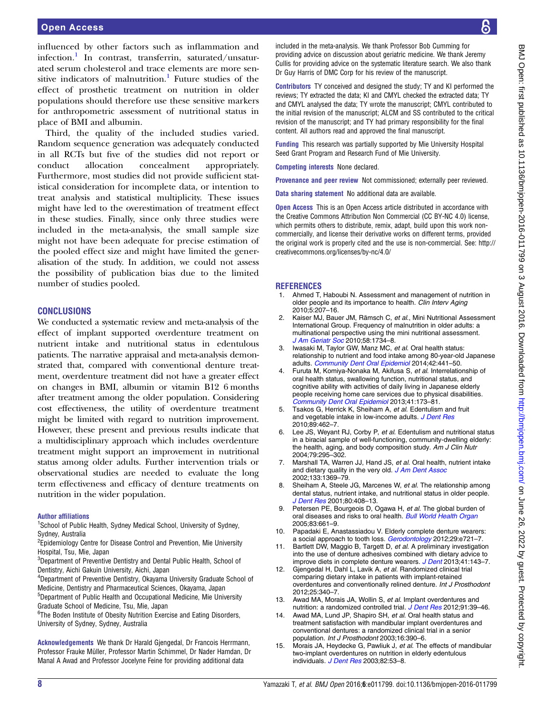<span id="page-7-0"></span>influenced by other factors such as inflammation and infection.<sup>1</sup> In contrast, transferrin, saturated/unsaturated serum cholesterol and trace elements are more sensitive indicators of malnutrition.<sup>1</sup> Future studies of the effect of prosthetic treatment on nutrition in older populations should therefore use these sensitive markers for anthropometric assessment of nutritional status in place of BMI and albumin.

Third, the quality of the included studies varied. Random sequence generation was adequately conducted in all RCTs but five of the studies did not report or conduct allocation concealment appropriately. Furthermore, most studies did not provide sufficient statistical consideration for incomplete data, or intention to treat analysis and statistical multiplicity. These issues might have led to the overestimation of treatment effect in these studies. Finally, since only three studies were included in the meta-analysis, the small sample size might not have been adequate for precise estimation of the pooled effect size and might have limited the generalisation of the study. In addition, we could not assess the possibility of publication bias due to the limited number of studies pooled.

### **CONCLUSIONS**

We conducted a systematic review and meta-analysis of the effect of implant supported overdenture treatment on nutrient intake and nutritional status in edentulous patients. The narrative appraisal and meta-analysis demonstrated that, compared with conventional denture treatment, overdenture treatment did not have a greater effect on changes in BMI, albumin or vitamin B12 6 months after treatment among the older population. Considering cost effectiveness, the utility of overdenture treatment might be limited with regard to nutrition improvement. However, these present and previous results indicate that a multidisciplinary approach which includes overdenture treatment might support an improvement in nutritional status among older adults. Further intervention trials or observational studies are needed to evaluate the long term effectiveness and efficacy of denture treatments on nutrition in the wider population.

#### Author affiliations

<sup>1</sup>School of Public Health, Sydney Medical School, University of Sydney, Sydney, Australia

<sup>2</sup> Epidemiology Centre for Disease Control and Prevention, Mie University Hospital, Tsu, Mie, Japan

<sup>3</sup>Department of Preventive Dentistry and Dental Public Health, School of Dentistry, Aichi Gakuin University, Aichi, Japan

4 Department of Preventive Dentistry, Okayama University Graduate School of Medicine, Dentistry and Pharmaceutical Sciences, Okayama, Japan 5 Department of Public Health and Occupational Medicine, Mie University

Graduate School of Medicine, Tsu, Mie, Japan

<sup>6</sup>The Boden Institute of Obesity Nutrition Exercise and Eating Disorders, University of Sydney, Sydney, Australia

Acknowledgements We thank Dr Harald Gjengedal, Dr Francois Herrmann, Professor Frauke Müller, Professor Martin Schimmel, Dr Nader Hamdan, Dr Manal A Awad and Professor Jocelyne Feine for providing additional data

included in the meta-analysis. We thank Professor Bob Cumming for providing advice on discussion about geriatric medicine. We thank Jeremy Cullis for providing advice on the systematic literature search. We also thank Dr Guy Harris of DMC Corp for his review of the manuscript.

Contributors TY conceived and designed the study; TY and KI performed the reviews; TY extracted the data; KI and CMYL checked the extracted data; TY and CMYL analysed the data; TY wrote the manuscript; CMYL contributed to the initial revision of the manuscript; ALCM and SS contributed to the critical revision of the manuscript; and TY had primary responsibility for the final content. All authors read and approved the final manuscript.

Funding This research was partially supported by Mie University Hospital Seed Grant Program and Research Fund of Mie University.

Competing interests None declared.

Provenance and peer review Not commissioned; externally peer reviewed.

Data sharing statement No additional data are available.

Open Access This is an Open Access article distributed in accordance with the Creative Commons Attribution Non Commercial (CC BY-NC 4.0) license, which permits others to distribute, remix, adapt, build upon this work noncommercially, and license their derivative works on different terms, provided the original work is properly cited and the use is non-commercial. See: [http://](http://creativecommons.org/licenses/by-nc/4.0/) [creativecommons.org/licenses/by-nc/4.0/](http://creativecommons.org/licenses/by-nc/4.0/)

#### **REFERENCES**

- 1. Ahmed T, Haboubi N. Assessment and management of nutrition in older people and its importance to health. Clin Interv Aging 2010;5:207–16.
- Kaiser MJ, Bauer JM, Rämsch C, et al., Mini Nutritional Assessment International Group. Frequency of malnutrition in older adults: a multinational perspective using the mini nutritional assessment. [J Am Geriatr Soc](http://dx.doi.org/10.1111/j.1532-5415.2010.03016.x) 2010;58:1734–8.
- Iwasaki M, Taylor GW, Manz MC, et al. Oral health status: relationship to nutrient and food intake among 80-year-old Japanese adults. [Community Dent Oral Epidemiol](http://dx.doi.org/10.1111/cdoe.12100) 2014;42:441–50.
- 4. Furuta M, Komiya-Nonaka M, Akifusa S, et al. Interrelationship of oral health status, swallowing function, nutritional status, and cognitive ability with activities of daily living in Japanese elderly people receiving home care services due to physical disabilities. [Community Dent Oral Epidemiol](http://dx.doi.org/10.1111/cdoe.12000) 2013;41:173–81.
- 5. Tsakos G, Herrick K, Sheiham A, et al. Edentulism and fruit and vegetable intake in low-income adults. [J Dent Res](http://dx.doi.org/10.1177/0022034510363247) 2010;89:462–7.
- Lee JS, Weyant RJ, Corby P, et al. Edentulism and nutritional status in a biracial sample of well-functioning, community-dwelling elderly: the health, aging, and body composition study. Am J Clin Nutr 2004;79:295–302.
- 7. Marshall TA, Warren JJ, Hand JS, et al. Oral health, nutrient intake and dietary quality in the very old. [J Am Dent Assoc](http://dx.doi.org/10.14219/jada.archive.2002.0052) 2002;133:1369–79.
- 8. Sheiham A, Steele JG, Marcenes W, et al. The relationship among dental status, nutrient intake, and nutritional status in older people. [J Dent Res](http://dx.doi.org/10.1177/00220345010800020201) 2001;80:408–13.
- 9. Petersen PE, Bourgeois D, Ogawa H, et al. The global burden of oral diseases and risks to oral health. [Bull World Health Organ](http://dx.doi.org//S0042-96862005000900011) 2005;83:661–9.
- 10. Papadaki E, Anastassiadou V. Elderly complete denture wearers: a social approach to tooth loss. [Gerodontology](http://dx.doi.org/10.1111/j.1741-2358.2011.00550.x) 2012;29:e721-7.
- 11. Bartlett DW, Maggio B, Targett D, et al. A preliminary investigation into the use of denture adhesives combined with dietary advice to improve diets in complete denture wearers. [J Dent](http://dx.doi.org/10.1016/j.jdent.2012.10.012) 2013;41:143-7.
- 12. Gjengedal H, Dahl L, Lavik A, et al. Randomized clinical trial comparing dietary intake in patients with implant-retained overdentures and conventionally relined denture. Int J Prosthodont 2012;25:340–7.
- 13. Awad MA, Morais JA, Wollin S, et al. Implant overdentures and nutrition: a randomized controlled trial. [J Dent Res](http://dx.doi.org/10.1177/0022034511423396) 2012;91:39-46.
- 14. Awad MA, Lund JP, Shapiro SH, et al. Oral health status and treatment satisfaction with mandibular implant overdentures and conventional dentures: a randomized clinical trial in a senior population. Int J Prosthodont 2003;16:390–6.
- 15. Morais JA, Heydecke G, Pawliuk J, et al. The effects of mandibular two-implant overdentures on nutrition in elderly edentulous individuals. [J Dent Res](http://dx.doi.org/10.1177/154405910308200112) 2003;82:53-8.